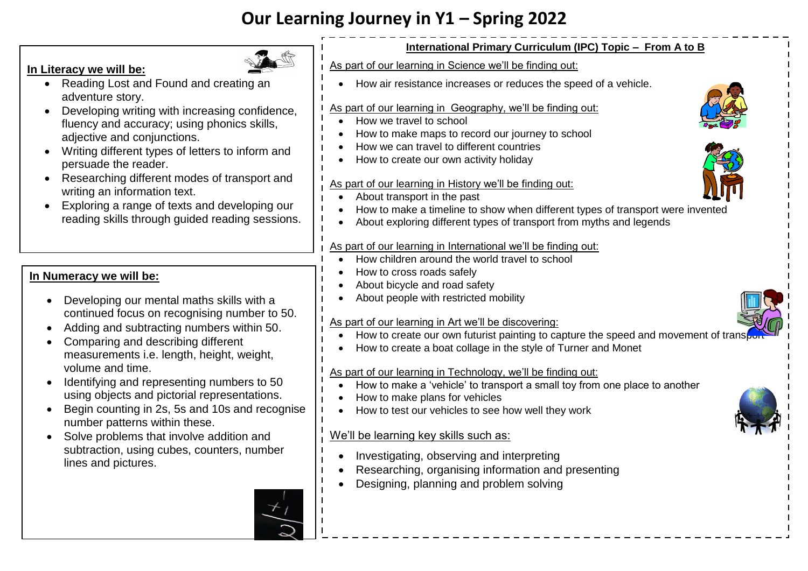# **Our Learning Journey in Y1 – Spring 2022**

## **In Literacy we will be:**

- Reading Lost and Found and creating an adventure story.
- Developing writing with increasing confidence, fluency and accuracy; using phonics skills, adjective and conjunctions.
- Writing different types of letters to inform and persuade the reader.
- Researching different modes of transport and writing an information text.
- Exploring a range of texts and developing our reading skills through guided reading sessions.

## **In Numeracy we will be:**

- Developing our mental maths skills with a continued focus on recognising number to 50.
- Adding and subtracting numbers within 50.
- Comparing and describing different measurements i.e. length, height, weight, volume and time.
- Identifying and representing numbers to 50 using objects and pictorial representations.
- Begin counting in 2s, 5s and 10s and recognise number patterns within these.
- Solve problems that involve addition and subtraction, using cubes, counters, number lines and pictures.

#### **International Primary Curriculum (IPC) Topic – From A to B**

- As part of our learning in Science we'll be finding out:
	- How air resistance increases or reduces the speed of a vehicle.

#### As part of our learning in Geography, we'll be finding out:

- How we travel to school
- How to make maps to record our journey to school
- How we can travel to different countries
- How to create our own activity holiday

#### As part of our learning in History we'll be finding out:

- About transport in the past
- How to make a timeline to show when different types of transport were invented
- About exploring different types of transport from myths and legends

#### As part of our learning in International we'll be finding out:

- How children around the world travel to school
- How to cross roads safely
- About bicycle and road safety
- About people with restricted mobility

#### As part of our learning in Art we'll be discovering:

- How to create our own futurist painting to capture the speed and movement of trans
- How to create a boat collage in the style of Turner and Monet

#### As part of our learning in Technology, we'll be finding out:

- How to make a 'vehicle' to transport a small toy from one place to another
- How to make plans for vehicles
- How to test our vehicles to see how well they work

## We'll be learning key skills such as:

- Investigating, observing and interpreting
- Researching, organising information and presenting
- Designing, planning and problem solving